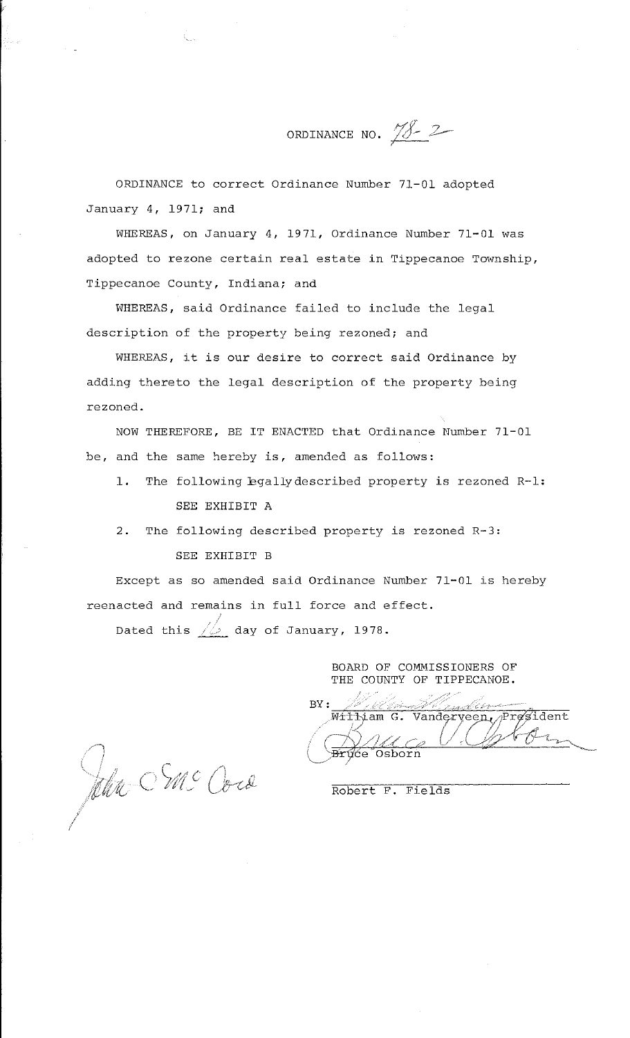ORDINANCE NO.  $1822$ 

ORDINANCE to correct Ordinance Number 71-01 adopted January 4, 1971; and

WHEREAS, on January 4, 1971, Ordinance Number 71-01 was adopted to rezone certain real estate in Tippecanoe Township, Tippecanoe County, Indiana; and

WHEREAS, said Ordinance failed to include the legal description of the property being rezoned; and

WHEREAS, it is our desire to correct said Ordinance by adding thereto the legal description of the property being rezoned.

NOW THEREFORE, BE IT ENACTED that Ordinance Number 71-01 be, and the same hereby is, amended as follows:

- 1. The following bgallydescribed property is rezoned R-1: SEE EXHIBIT A
- 2. The following described property is rezoned R-3: SEE EXHIBIT B

Except as so amended said Ordinance Number 71-01 is hereby reenacted and remains in full force and effect.

Dated this  $\sqrt{\omega}$  day of January, 1978.

BOARD OF COMMISSIONERS OF THE COUNTY OF TIPPECANOE.

 $\text{BY}: \hspace{0.3cm} \begin{array}{ll} \mathbb{P} & \mathbb{P}^1 \times \mathbb{P}^1 \times \mathbb{P}^1 \times \mathbb{P}^1 \times \mathbb{P}^1 \times \mathbb{P}^1 \times \mathbb{P}^1 \times \mathbb{P}^1 \times \mathbb{P}^1 \times \mathbb{P}^1 \times \mathbb{P}^1 \times \mathbb{P}^1 \times \mathbb{P}^1 \times \mathbb{P}^1 \times \mathbb{P}^1 \times \mathbb{P}^1 \times \mathbb{P}^1 \times \mathbb{P}^1 \times \mathbb{P}^1 \times \math$ William G. Vanderveen, President  $\sim$   $\sqrt{2\pi}$   $\sim$   $\sqrt{2\pi}$ ( Bryce Osborn *V : Y '0 -*

Jehr SMC Core

Robert F. Fields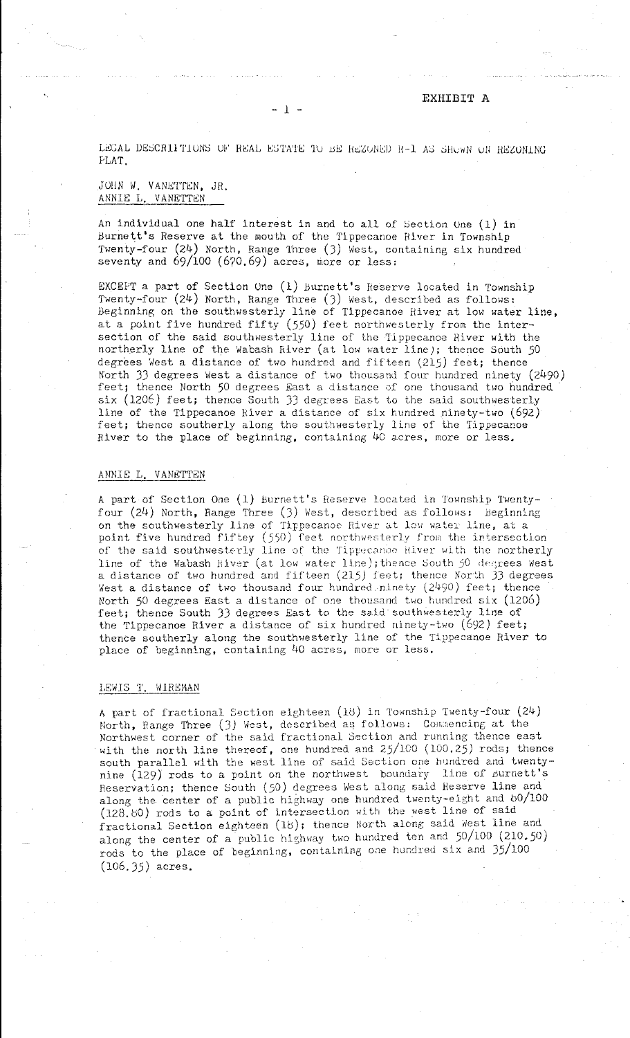EXHIBIT A

LEGAL DESCRIPTIONS OF REAL ESTATE TO BE REZONED R-1 AS SHOWN ON REZONING PLAT.

- l ·-

# JOHN W. VANETTEN, JR. ANNIE L. VANETTEN

An individual one half interest in and to all of Section Une  $(1)$  in Burnett's Reserve at the mouth of the Tippecanoe River in Township Twenty-four (24) North, Range Three (J) West, containing six hundred seventy and  $69/100$   $(670.69)$  acres, more or less:

EXCEPT a part of Section Une (1) Burnett's Heserve located in Township Twenty-four  $(24)$  North, Range Three  $(3)$  West, described as follows: Beginning on the southwesterly line of Tippecanoe River at low water line, at a point five hundred fifty  $(550)$  feet northwesterly from the intersection of the said southwesterly line of the Tippecanoe River with the northerly line of the Wabash River (at low water line); thence South 50 degrees West a distance of two hundred and fifteen  $(215)$  feet; thence North JJ degrees West a distance of two thousand four hundred ninety (2490) feet; thence North 50 degrees East a distance of one thousand two hundred six (1206) feet; thence South 33 degrees East to the said southwesterly line of the Tippecanoe River a distance of six hundred ninety-two (692) feet; thence southerly along the southwesterly line of the Tippecanoe River to the place of beginning, containing 40 acres, more or less.

### ANNIE L. VANETTEN

A part of Section One (1) Burnett's Reserve located in Township Twentyfour  $(24)$  North, Range Three  $(3)$  West, described as follows: Beginning on the southwesterly line of Tippecanoe River at low water line, at a point five hundred fiftey  $(550)$  feet northwesterly from the intersection of the said southwesterly line of the Tippecanoe Hiver with the northerly line of the Wabash Hiver (at low water-line); thence South 50 degrees West a distance of two hundred and fifteen  $(215)$  feet; thence North  $33$  degrees West a distance of two thousand four hundred ninety  $(2490)$  feet; thence North 50 degrees East a distance of one thousand two hundred six (1206) feet; thence South JJ degrees East to the said southwesterly line of the Tippecanoe River a distance of six hundred ninety-two (692) feet; thence southerly along the southwesterly line of the Tippecanoe River to place of beginning, containing 40 acres, more or less.

## LEWIS T. WIREMAN

A part of fractional Section eighteen (18) in Township Twenty-four (24) North, Range Three (3) West, described as follows: Commencing at the Northwest corner of the said fractional Section and running thence east with the north line thereof, one hundred and  $25/100$  ( $100.25$ ) rods; thence south parallel with the west line of said Section one hundred and twentynine (129) rods to a point on the northwest boundary line of surnett's Reservation; thence South (50) degrees West along said Reserve line and along the center of a public highway one hundred twenty-eight and  $80/100$ (128. 00) rods to a point of intersection with the west line of said fractional Section eighteen (18); thence North along said West line and along the center of a public highway two hundred ten and  $50/100$  (210.50) rods to the place of beginning, containing one hundred six and  $35/100$ (106.35) acres.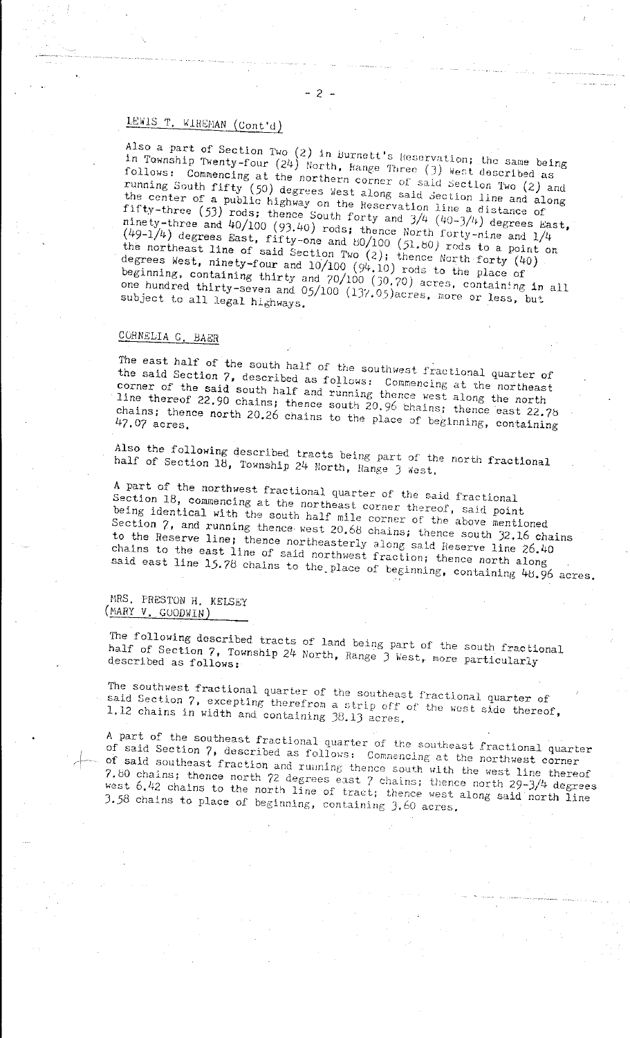# LEWIS T. WIREMAN  $(Cont 'd)$

Also a part of Section Two (2) in Burnett's Heservation; the same being in Township Twenty-four (24) North, Hange Three (3) West described being follows: Commencing at the northern corner of said section Two (2) and running South fifty  $(50)$  degrees West along said section line and along **the center of a public highway on the Heservatlon line a distance of**  fifty-three (53) rods; thence South forty and  $3/4$  (40-3/4) degrees East, ninety-three and  $40/100$  (93.40) rods; thence North forty-nine and  $1/4$  $(49-1/4)$  degrees East, fifty-one and 80/100 (51.80) rods to a point on the northeast line of said Section Two  $(2)$ ; thence North forty ( $400$ ) degrees west, ninety-four and  $10/100$  ( $94.10$ ) rods to the place of beginning, containing thirty and  $70/100$  ( $30.70$ ) acres, containing in all one hundred thirty-seven and 05/100 (137.05)acres, more or less, but<br>subject to all legal highways.

# CORNELIA G. BAER

The east half of the south half of the southwest fractional quarter of the said Section 7, described as follows: Commencing at the northeast corner of the said south half and running thence west along the north line thereof  $22,90$  chains; thence south  $20.96$  thains; thence east  $22.75$ chains; thence north 20.26 chains to the place of beginning, containing

Also the following described tracts being part of the north fractional half of Section  $18$ , Township 24 North, Range 3 West,

A part of the northwest fractional quarter of the said fractional Section 18, commencing at the northeast corner thereof, said point being identical with the south half mile corner of the above mentioned Section 7, and running thence west 20.68 chains; thence south 32.16 chains to the Reserve line; thence northeasterly along said Reserve line 26.40 chains to the east line of said northwest fraction; thence north along said east line  $15.78$  chains to the place of beginning, containing  $48.96$  acres.

MRS. PRESTON H. KELSEY (MARY V. GOODWIN)

The following described tracts of land being part of the south fractional half of Section 7, Township 24 North, Range 3 West, more particularly described as follows:

The southwest fractional quarter of the southeast fractional quarter of said Section 7, excepting therefrom a strip off of the west side thereof, 1,12 chains in width and containing Jd.lJ acres,

A part of the southeast fractional quarter of the southeast fractional quarter of said Section 7, described as follows: Commencing at the northwest corner of said southeast fraction and running thence south with the west line thereof 7.80 chains; thence north 72 degrees east 7 chains; thence north  $29-3/4$  degrees west  $6.42$  chains to the north line of tract; thence west along said north line J.58 chains to place of beginning, containing J.60 acres,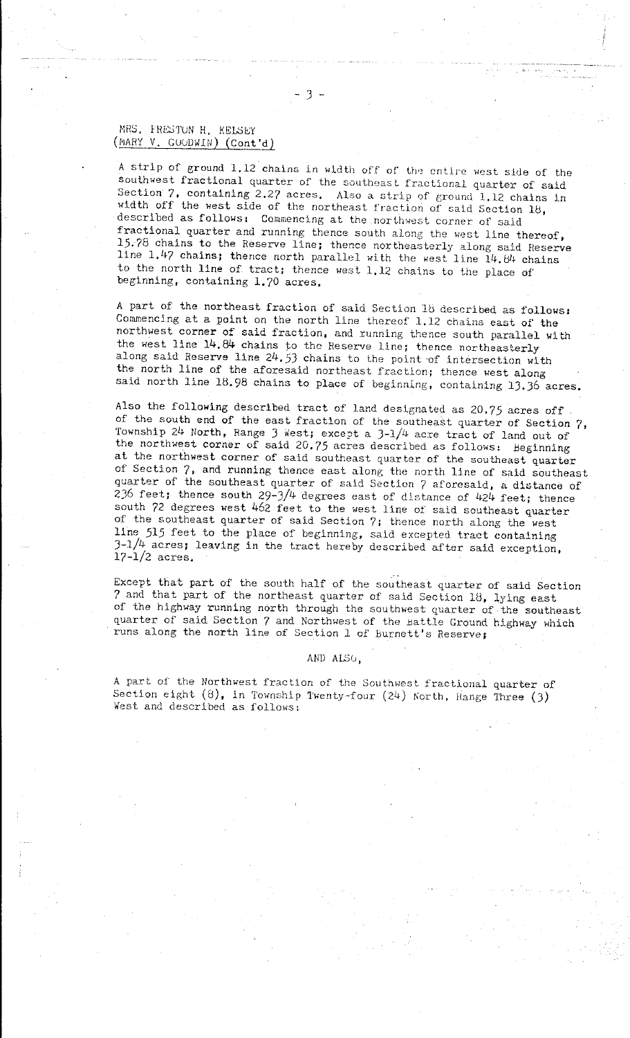# MRS. FRESTON H. KELSEY (MHY V. GUUDWIN) (Cont'd)

A strip of ground 1.12 chains in width off of the entire west side of the southwest fractional quarter of the southeast fractional quarter of said Section  $7$ , containing 2.27 acres. Also a strip of ground l.12 chains in width off the west side of the northeast fraction of said Section  $18$ , described as follows: Commencing at the northwest corner of said fractional quarter and running thence south along the west line thereof, 15. 78 chalns to the Reserve line; thence northeasterly along said Reserve line 1.47 chains; thence north parallel with the west line  $14.84$  chains to the north line of tract; thence west 1.12 chains to the place of beginning, containing 1,70 acres,

A part of the northeast fraction of said Section 18 described as follows: Commencing at a point on the north line thereof 1.12 chains east of the northwest corner of said fraction, and running thence south parallel with the west line 14.84 chains to the Reserve line; thence northeasterly along said Reserve line  $24.53$  chains to the point of intersection with the north line of the aforesaid northeast fraction; thence west along said north line 18.98 chains to place of beginning, containing 13.36 acres.

Also the following described tract of land deslgnated as *20.75* acres off of the south end of the east fraction of the southeast quarter of Section 7, Township 24 North, Range 3 West; except a  $3-1/4$  acre tract of land out of the northwest corner of said 20.75 acres described as follows: beginning at the northwest corner of said southeast quarter of the southeast quarter of Section 7, and running thence east along the north line of said southeast quarter of the southeast quarter of said Section 7 aforesaid, a distance of  $236$  feet; thence south  $29-3/4$  degrees east of distance of  $424$  feet; thence south 72 degrees west 462 feet to the west line of said southeast quarter of the southeast quarter of said Section 7; thence north along the west line 515 feet to the place of beginning, said excepted tract containing  $3-1/4$  acres; leaving in the tract hereby described after said exception, 17-1/2 acres,

Except that part of the south half of the southeast quarter of said Section 7 and that part of the northeast quarter of said Section 18, lying east of the highway running north through the southwest quarter of the southeast quarter of said Section 7 and Northwest of the Battle Ground highway which runs along the north line of Section l of Burnett's Reserve;

### AND ALSO.

A part of the Northwest fraction of the Southwest fractional quarter of Section eight  $(8)$ , in Township Twenty-four  $(24)$  North, Hange Three (3) West and described as follows: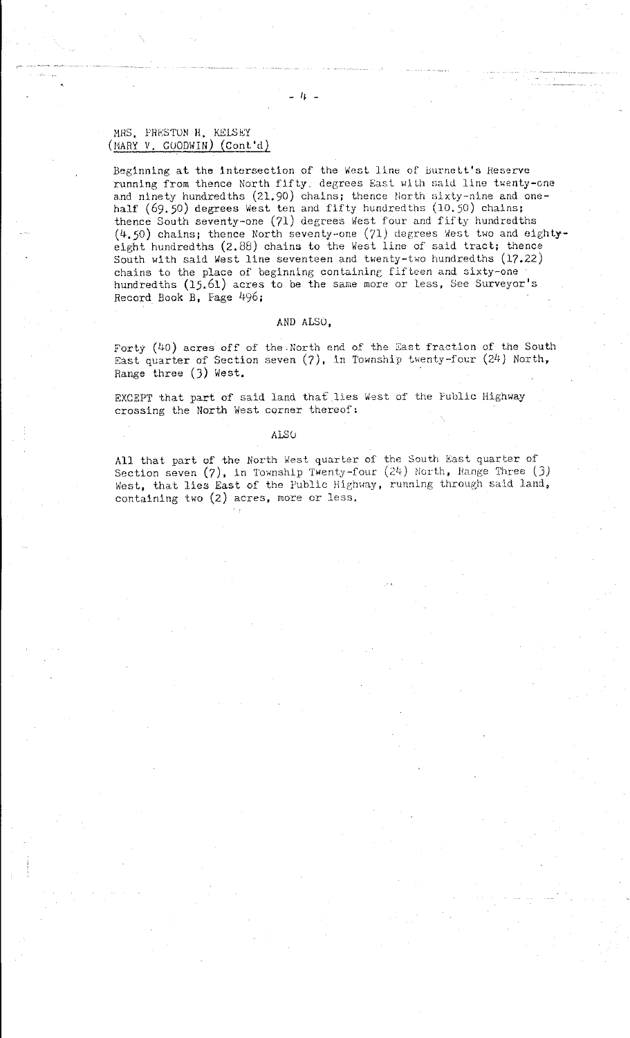# MRS. PRESTON H. KELSEY (MARY V. GOODWIN) (ConL'd)

Beginning at the intersection of the West line of Burnett's Reserve running from thence North fifty, degrees East with said line twenty-one and ninety hundredths (21.90) chains; thence North sixty-nine and onehalf (69.50) degrees West ten and fifty hundredths (10.50) chains; thence South seventy-one (71) degrees West four and fifty hundredths (4,50) chains; thence North seventy-one (71) degrees West two and eightyeight hundredths (2.88) chains to the West line of said tract; thence South with said West line seventeen and twenty-two hundredths  $(17.22)$ chains to the place of beginning containing fifteen and sixty-one hundredths (15.61) acres to be the same more or less, See Surveyor's Record Book B, Fage 496;

#### AND ALSO,

Forty  $(40)$  acres off of the .North end of the East fraction of the South East quarter of Section seven (7), in Township twenty-four (24) North, Range three (J) West.

EXCEPT that part of said land that lies West of the Public Highway crossing the North West corner thereof:

#### ALS(J

All that part of the North west quarter of the South East quarter of Section seven  $(7)$ , in Township Twenty-four  $(24)$  North, Range Three  $(3)$ West, that lies East of the Public Highway, running through said land, containing two (2) acres, more or less.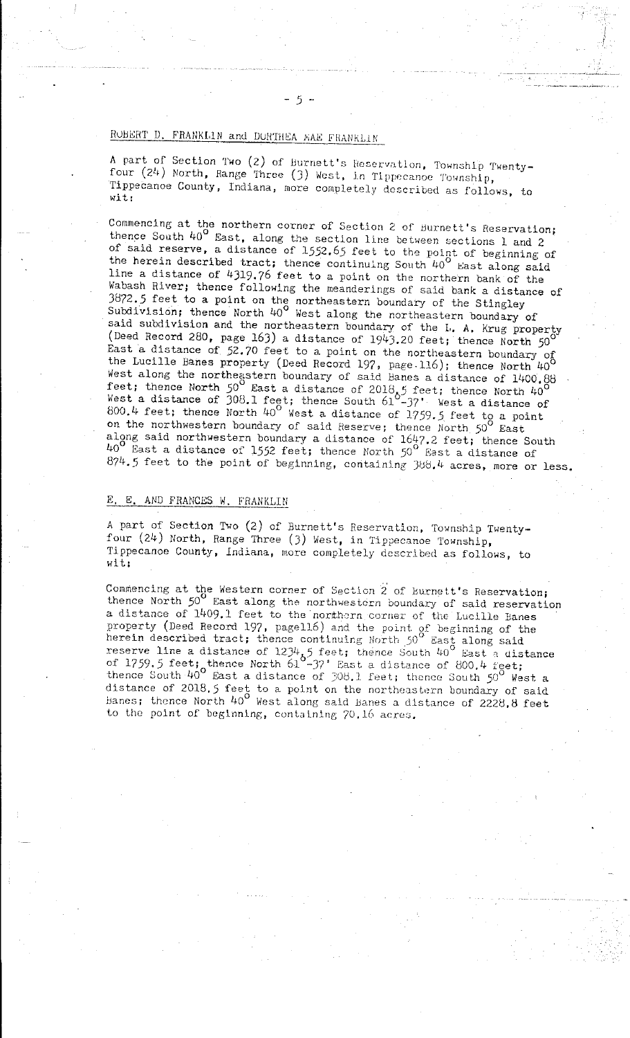# ROBERT D, FRANKLIN and DORTHEA MAE FRANKLIN

A part of Section Two (2) of Burnett's Hcscrvatlon, Township Twentyfour  $(24)$  North, Range Three  $(3)$  West, in Tippecanoe Township, Tippecanoe County, Indiana, more completely described as follows, to wit:

Commencing at the northern corner of Section 2 of Burnett's Reservation; thence South  $40^{\circ}$  East, along the section line between sections 1 and 2 of said reserve, a distance of 1552.65 feet to the point of beginning of the herein described tract; thence continuing South 40° East along said line a distance of 4319. 76 feet to a point on the northern bank of the Wabash River; thence following the meanderings of said bank a distance of 3872.5 feet to a point on the northeastern boundary of the Stingley Subdivision; thence North  $40^{\circ}$  West along the northeastern boundary of said subdivision and the northeastern boundary of the L. A. Krug property (Deed Record 280, page 163) a distance of  $1943.20$  feet; thence North  $50^{\circ}$ East a distance of 52.70 feet to a point on the northeastern boundary of the Lucille Banes property (Deed Record 197, page.116); thence North  $40^{\circ}$ West along the northeastern boundary of said Banes a distance of 1400.88 feet; thence North  $50^{\circ}$  East a distance of  $2018, 5$  feet; thence North  $40^{\circ}$ <br>West a distance of  $308.1$  feet: thence South 610<sup>-321</sup>, linet a signal West a distance of 308.1 feet; thence South  $61^{\circ}$ -37' West a distance of 800.4 feet; thence North 40° West a distance of 1759.5 feet to a point on the northwestern boundary of said Reserve; thence North  $50^{\circ}$  East along said northwestern boundary a distance of  $1647.2$  feet; thence South  $40^{\circ}$  East a distance of 1552 feet; thence North 50 $^{\circ}$  East a distance of 874.5 feet to the point of beginning, containing 388.4 acres, more or less.

## E. E. AND FRANCES W. FRANKLIN

A part of Section Two (2) of Burnett's Reservation, Township Twentyfour (24) North, Range Three (J) West, in Tippecanoe Township, Tippecanoe County, Indiana, more completely described as follows, to **wit;** 

Commencing at the Western corner of Section 2 of Burnett's Reservation; thence North *50°* East along the northwestern boundary of said reservation a distance of 1409.1 feet to the northern corner of the Lucille Banes **property (Deed Record 197, pagell6) a.nd the point. of beginning of the herein described tract; thence continuing North** 50° **East along said**  reserve line a distance of 1234,5 feet; thence South 40<sup>°</sup> East a distance of 1759.5 feet; thence North 61<sup>-37</sup> East a distance of 800.4 feet; thence South  $40^{\circ}$  East a distance of 308.1 feet; thence South  $50^{\circ}$  West a distance of 2018.5 feet to a point on the northeastern boundary of said Banes; thence North 40<sup>°</sup> West along said Banes a distance of 2228.8 feet to the point of beginning, containing  $70.16$  acres.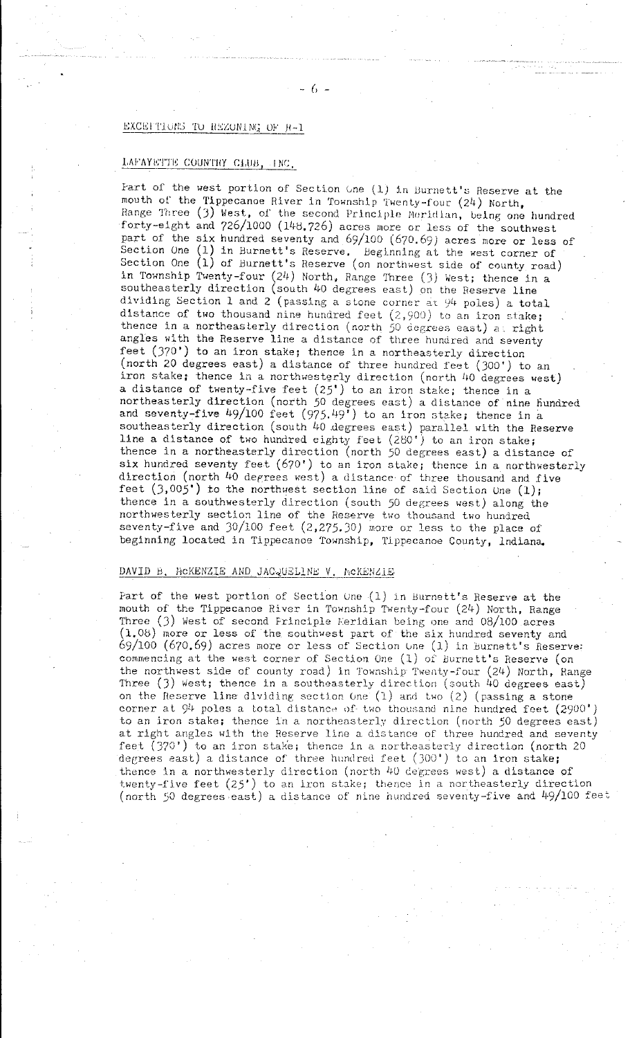# EXCEFTIONS TO REZONING OF R-1

# LAFAYETTE COUNTHY CLUB, INC.

Fart of the west portion of Section Gne  $(1)$  in Burnett's Reserve at the mouth of the Tippecanoe River in Township Twenty-four  $(24)$  North, Range Three (3) West, of the second Principle Meridian, being one hundred forty-eight and 726/1000 (14d, 726) acres more or less of the southwest part of the six hundred seventy and 69/100 (670.69) acres more or less of Section One (1) in Burnett's Reserve, Beginning at the west corner of Section One  $(1)$  of Burnett's Reserve (on northwest side of county road) in Township Twenty-four  $(24)$  North, Range Three  $(3)$  West; thence in a southeasterly direction (south 40 degrees east) on the Reserve line dividing Section 1 and 2 (passing a stone corner at  $94$  poles) a total distance of two thousand nine hundred feet  $(2,900)$  to an iron stake; **thence in a northeaslerly direction (north 50 degrees east) a\_ right**  angles with the Reserve line a distance of three hundred and seventy feet (370') to an iron stake; thence in a northeasterly direction (north 20 degrees east) a distance of three hundred feet (JOO') to an iron stake; thence in a northwesterly direction (north 40 degrees west) a distance of twenty-five feet  $(25')$  to an iron stake; thence in a northeasterly direction (north *50* degrees east) a distance of nine liundred and seventy-five  $49/100$  feet  $(975.49)$  to an iron stake; thence in a southeasterly direction (south 40 degrees east) parallel with the Reserve line a distance of two hundred eighty feet  $(280')$  to an iron stake; thence in a northeasterly direction (north 50 degrees east) a distance of six hundred seventy feet (670') to an iron stake; thence in a northwesterly direction (north 40 derrees west) a distance· of three thousand and five feet  $(3,005')$  to the northwest section line of said Section Une  $(1)$ ; thence in a southwesterly direction (south *50* degrees west) along the northwesterly section line of the Reserve two thousand two hundred seventy-five and J0/100 feet (2, 275. *JO)* more or less to the place of beginning located in Tippecanoe Township, Tippecanoe County, lndiana.

## DAVID B, MCKENZIE AND JACQUELINE V, MCKENZIE

Part of the west portion of Section One  $(1)$  in Burnett's Reserve at the mouth of the Tippecanoe River in Township Twenty-four (24) North, Range Three (J) West of second Frinciple Feridian being one and 08/100 acres (1.08) more or less of the southwest part of the six hundred seventy and 69/100 (670.69) acres more or less of Section Une  $(1)$  in Burnett's Reserve: **commencing at the west corner of Section One (1) of Burnett's Heserve (on**  the northwest side of county road) in Township Twenty-four (24) North, Range Three (3) West; thence in a southeasterly direction (south 40 degrees east) on the Reserve line dividing section  $One(1)$  and two  $(2)$  (passing a stone corner at  $94$  poles a total distance of two thousand nine hundred feet (2900') **to an iron stake; thence in a northeasterly direction (north** *50* **degrees east) at right angles with the Reserve line a distance of three hundred and seventy**  feet (370') to an iron stake; thence in a northeasterly direction (north 20 degrees east) a distance of three hundred feet  $(300^{\circ})$  to an iron stake; thence in a northwesterly direction (north 40 degrees west) a distance of twenty-five feet (25') to an iron stake; thence in a northeasterly direction (north 50 degrees east) a distance of nine hundred seventy-five and  $49/100$  feet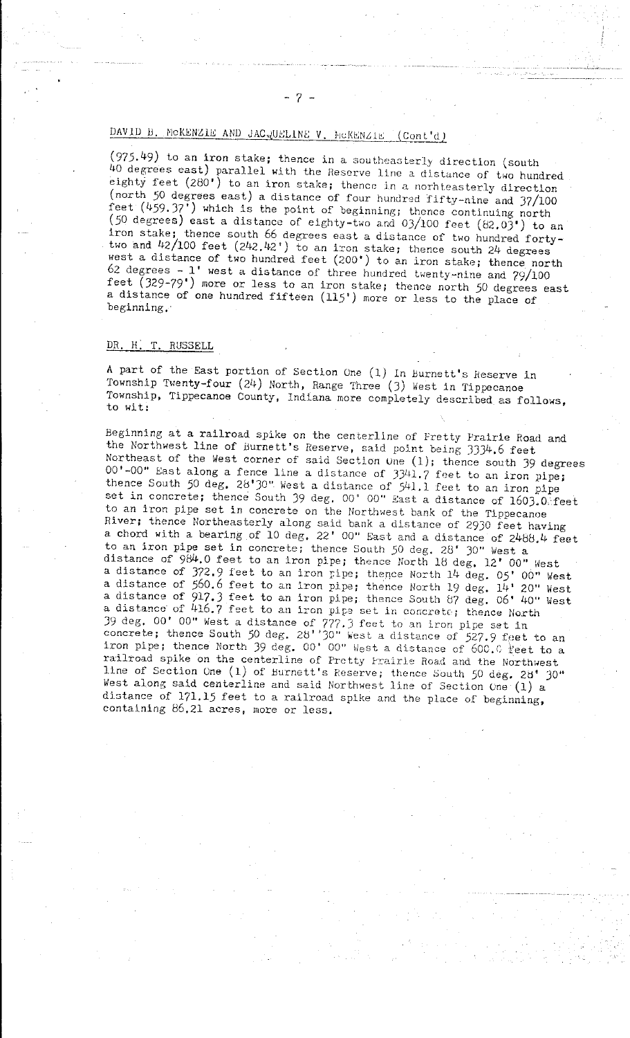# DAVID B. MCKENZIE AND JAC, UELINE V. HCKENZIE (Cont'd)

(975.49) to an iron stake; thence in a southeasterly direction (south 40 degrees east) parallel with the Reserve line a distance of two hundred eighty feet  $(280')$  to an iron stake; thence in a norhteasterly direction (north 50 degrees east) a distance of four hundred fifty-nine and 37/100 feet  $(459.37^{\circ})$  which is the point of beginning; thence continuing north  $(50$  degrees) east a distance of eighty-two and  $03/100$  feet  $(82.03)$  to an iron stake; thence south 66 degrees east a distance of two hundred fortytwo and  $42/100$  feet  $(242.42')$  to an iron stake; thence south  $24$  degrees west a distance of two hundred feet (200') to an iron stake; thence north 62 degrees - l' west a distance of three hundred twenty-nine and 79/100 feet ( 329-79') more or less to an iron stake; thence north *50* degrees east a distance of one hundred fifteen (115') more or less to the place of beginning,·

'~-" .\_;\_\_;~ ···--·

### DR. H: T. RUSSELL

A part of the East portion of Section One (1) In Burnett's Reserve in Township Twenty-four (24) North, Range Three (J) West in Tippecanoe Township, Tippecanoe County, Indiana more completely described as follows, to wit:

Beginning at a railroad spike on the centerline of Fretty Prairie Hoad and the Northwest line of Burnett's Reserve, said point being 3334.6 feet Northeast of the West corner of said Section une (1); thence south 39 degrees  $00'$ -00" East along a fence line a distance of  $33/41.7$  feet to an iron pipe; thence South 50 deg. 28'30" West a distance of 541.1 feet to an iron pipe set in concrete; thence South 39 deg. 00' 00" East a distance of  $1603.0$  feet to an iron pipe set in concrete on the Northwest bank of the Tippecanoe River; thence Northeasterly along said bank a distance of 2930 feet having a chord with a bearing of 10 deg. 22' 00" East and a distance of  $2488.4$  feet to an iron pipe set in concrete; thence South *50* deg, 28' JO" West a distance of  $984.0$  feet to an iron pipe; thence North 18 deg, 12' 00" West a distance of 372.9 feet to an iron pipe; thence North 14 deg. 05' 00" West a distance of 560.6 feet to an iron pipe; thence North 19 deg. 14' 20" West a distance of 917.J feet to an iron pipe; thence South b7 deg, 06' 40" West **a distance of 416.7 feet to an iron pipe set in concrete; thence North** 39 deg.  $00'$  00" West a distance of  $777.3$  feet to an iron pipe set in concrete; thence South 50 deg. 28' '30" west a distance of 527.9 feet to an iron pipe; thence North 39 deg. 00' 00" West a distance of  $600.0$  reet to a railroad spike on the centerline of Pretty Prairie Road and the Northwest line of Section One (1) of Burnett's Reserve; thence South 50 deg. 28<sup>t</sup> 30" West along said centerline and said Northwest line of Section One  $(1)$  a distance of 171.15 feet to a railroad spike and the place of beginning, containing 86.21 acres, more or less,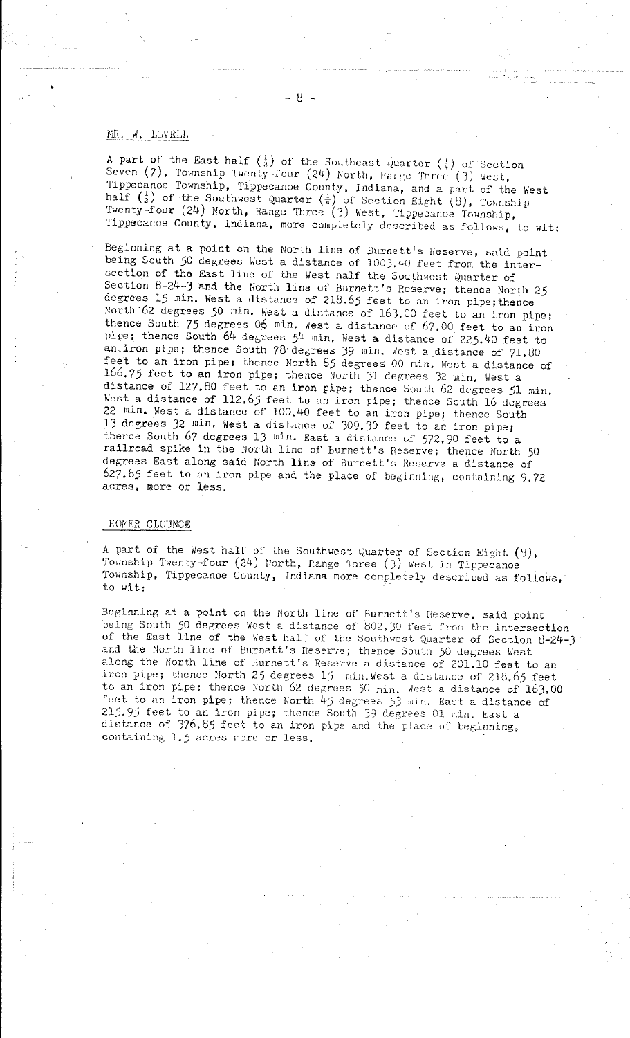#### MR. W. LOVELL

A part of the East half  $(\frac{1}{2})$  of the Southeast quarter  $(\frac{1}{4})$  of Section Seven  $(7)$ , Township Twenty-four  $(24)$  North, Range Three  $(3)$  West, Tippecanoe Township, Tippecanoe County, Indiana, and a part of the West half  $(\frac{1}{2})$  of the Southwest Quarter  $(\frac{1}{4})$  of Section Eight (8), Township Twenty-four (24) North, Range Three (3) West, Tippecanoe Township, Tippecanoe County, Indiana, more completely described as follows, to wit:

Beginning at a point on the North line of Burnett's Reserve, said point being South 50 degrees West a distance of 1003.40 feet from the intersection of the East line of the West half the Southwest Quarter of Section 8-24-3 and the North line of Burnett's Reserve; thence North 25 degrees  $15$  min. West a distance of  $218.65$  feet to an iron pipe; thence North 62 degrees *50* min. West a distance of 16J.OO feet to an iron pipe; thence South 75 degrees 06 min. West a distance of 67, 00 feet to an iron pipe; thence South 64 degrees 54 min. West a distance of 225.40 feet to an iron pipe; thence South 78 degrees 39 min. West a distance of 71.80 feet to an iron pipe; thence North 85 degrees 00 min. West a distance of 166.75 feet to an iron pipe; thence North 31 degrees 32 min. West a distance of 127.80 feet to an iron pipe; thence South 62 degrees 51 min. West a distance of 112.65 feet to an iron pipe; thence South 16 degrees 22 min. West a distance of 100,40 feet to an iron pipe; thence South 13 degrees 32 min, West a distance of 309.JO feet to an iron pipe; thence South 67 degrees 13 min. East a distance of 572.90 feet to a railroad spike in the North line of Burnett's Reserve; thence North 50 degrees East along said North line of Burnett's Heserve a distance of 627,85 feet to an iron pipe and the place of beginning, containing 9,72 **acres, more or less.** 

### HOMER CLOUNCE

A part of the West half of the Southwest Quarter of Section Eight  $(8)$ , Township Twenty-four (24) North, Range Three (3) West in Tippecanoe Township, Tippecanoe County, Indiana more completely described as follows, to wit:

Beginning at a point on the North line of Burnett's Reserve, said point **being South** *50* **degrees West a distance of 002. JO feet from the intersection**  of the East line of the West half of the Southwest Quarter of Section  $8-24-3$ and the North line of Burnett's Reserve; thence South *50* degrees West along the North line of Burnett's Reserve a distance of 201.10 feet to an iron pipe; thence North 25 degrees 15 min, West a distance of 218.65 feet to an iron pipe; thence North 62 degrees 50 min. West a distance of 163.00 feet to an iron pipe; thence North 45 degrees 53 min. East a distance of 21\_5. *95* feet to an iron pipe; thence South 39 degrees 01 min. East a distance of 376. *85* feet to an iron pipe and the place of beginning, **containing 1.5 acres more or less.**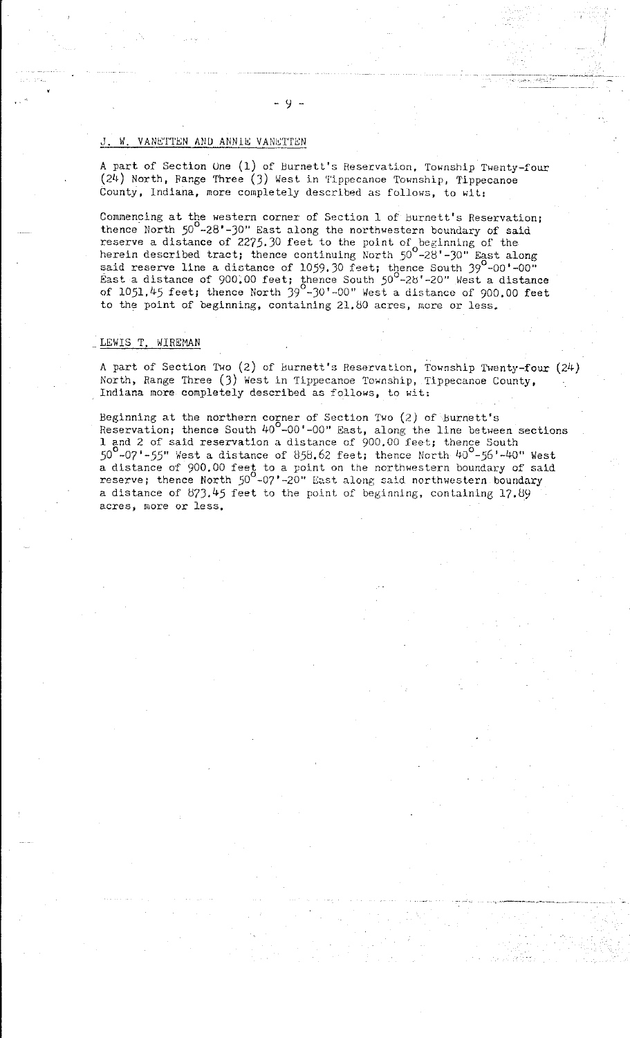# J. W. VANETTEN AND ANNIE VANETTEN

A part of Section One (1) of Burnett's Reservation, Township Twenty-four (24) North, Range Three (J) West in Tippecanoe Township, Tippecanoe County, Indiana, more completely described as follows, to wit:

Commencing at the western corner of Section 1 of Burnett's Reservation; thence North *50* -28'-JO" East along the northwestern boundary of said reserve a distance of 2275.30 feet to the point of beginning of the herein described tract; thence continuing North  $50^{\circ}$ -28'-30" East along said reserve line a distance of 1059.30 feet; thence South  $39^{\circ}$ -00'-00" East a distance of 900.00 feet; thence South  $50^{\circ}$ -28'-20" West a distance of 1051,45 feet; thence North  $39^{\circ}$ -30'-00" West a distance of 900.00 feet to the point of beginning, containing 21,80 acres, more or less.

## LEWIS T. WIREMAN

A part of Section Two (2) of Burnett's Reservation, Township Twenty-four (24) North, Range Three (J) West in Tippecanoe Township, Tippecanoe County, Indiana more completely described as follows, to wit:

Beginning at the northern corner of Section Two (2) of Burnett's Reservation; thence South  $40^{\circ}$ -00'-00" East, along the line between sections 1 and 2 of said reservation a distance of 900.00 feet; thence South  $50^9$ -07'-55" West a distance of 858.62 feet; thence North  $40^9$ -56'-40" West a distance of 900,00 feet to a point on the northwestern boundary of said reserve; thence North 50<sup>0</sup>-07'-20" East along said northwestern boundary a distance of 87J,45 feet to the point of beginning, containing 17.89 **acres, more or less.**